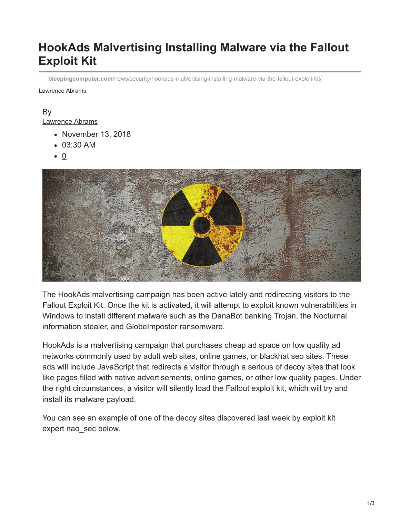# **HookAds Malvertising Installing Malware via the Fallout Exploit Kit**

**bleepingcomputer.com**[/news/security/hookads-malvertising-installing-malware-via-the-fallout-exploit-kit/](https://www.bleepingcomputer.com/news/security/hookads-malvertising-installing-malware-via-the-fallout-exploit-kit/)

Lawrence Abrams

#### By [Lawrence Abrams](https://www.bleepingcomputer.com/author/lawrence-abrams/)

- November 13, 2018
- 03:30 AM
- $\bullet$  0



The HookAds malvertising campaign has been active lately and redirecting visitors to the Fallout Exploit Kit. Once the kit is activated, it will attempt to exploit known vulnerabilities in Windows to install different malware such as the DanaBot banking Trojan, the Nocturnal information stealer, and GlobeImposter ransomware.

HookAds is a malvertising campaign that purchases cheap ad space on low quality ad networks commonly used by adult web sites, online games, or blackhat seo sites. These ads will include JavaScript that redirects a visitor through a serious of decoy sites that look like pages filled with native advertisements, online games, or other low quality pages. Under the right circumstances, a visitor will silently load the Fallout exploit kit, which will try and install its malware payload.

You can see an example of one of the decoy sites discovered last week by exploit kit expert [nao\\_sec](https://twitter.com/nao_sec) below.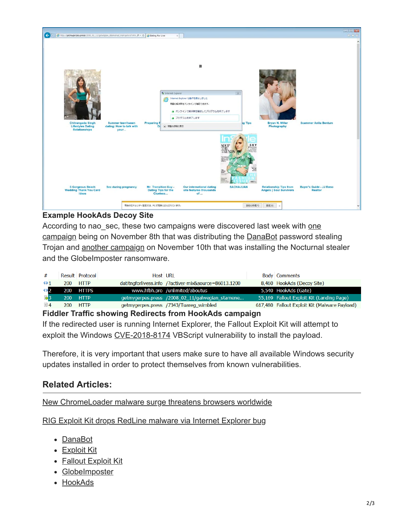

#### **Example HookAds Decoy Site**

According to nao sec, these two campaigns were discovered last week with one campaign being on November 8th that was distributing the **[DanaBot](https://www.bleepingcomputer.com/news/security/danabot-banking-malware-now-targeting-banks-in-the-us/)** password stealing Trojan and [another campaign](https://traffic.moe/2018/11/10/index.html) on November 10th that was installing the Nocturnal stealer and the GlobeImposter ransomware.

| #                   | Result Protocol     | Host URL                                              | <b>Body Comments</b>                          |
|---------------------|---------------------|-------------------------------------------------------|-----------------------------------------------|
| 421                 | 200-<br><b>HTTP</b> | datitngforlivess.info /?activer-mix&source=86013.1200 | 8,460 HookAds (Decoy Site)                    |
| $\leftrightarrow$ 2 | 200 HTTPS           | www.hfbh.pro /unlimited/aboutus                       | 5,540 HookAds (Gate)                          |
| <b>云3</b>           | 200<br><b>HTTP</b>  | getmygerpes.press /2008 02 11/galwegian stamene       | 55,169 Fallout Exploit Kit (Landing Page)     |
| $\equiv$ 4          | 200-<br><b>HTTP</b> | getmygerpes.press /7343/Tuareg wimbled                | 617,480 Fallout Exploit Kit (Malware Payload) |

**Fiddler Traffic showing Redirects from HookAds campaign**

If the redirected user is running Internet Explorer, the Fallout Exploit Kit will attempt to exploit the Windows [CVE-2018-8174](https://portal.msrc.microsoft.com/en-US/security-guidance/advisory/CVE-2018-8174) VBScript vulnerability to install the payload.

Therefore, it is very important that users make sure to have all available Windows security updates installed in order to protect themselves from known vulnerabilities.

### **Related Articles:**

[New ChromeLoader malware surge threatens browsers worldwide](https://www.bleepingcomputer.com/news/security/new-chromeloader-malware-surge-threatens-browsers-worldwide/)

[RIG Exploit Kit drops RedLine malware via Internet Explorer bug](https://www.bleepingcomputer.com/news/security/rig-exploit-kit-drops-redline-malware-via-internet-explorer-bug/)

- [DanaBot](https://www.bleepingcomputer.com/tag/danabot/)
- [Exploit Kit](https://www.bleepingcomputer.com/tag/exploit-kit/)
- [Fallout Exploit Kit](https://www.bleepingcomputer.com/tag/fallout-exploit-kit/)
- [GlobeImposter](https://www.bleepingcomputer.com/tag/globeimposter/)
- [HookAds](https://www.bleepingcomputer.com/tag/hookads/)